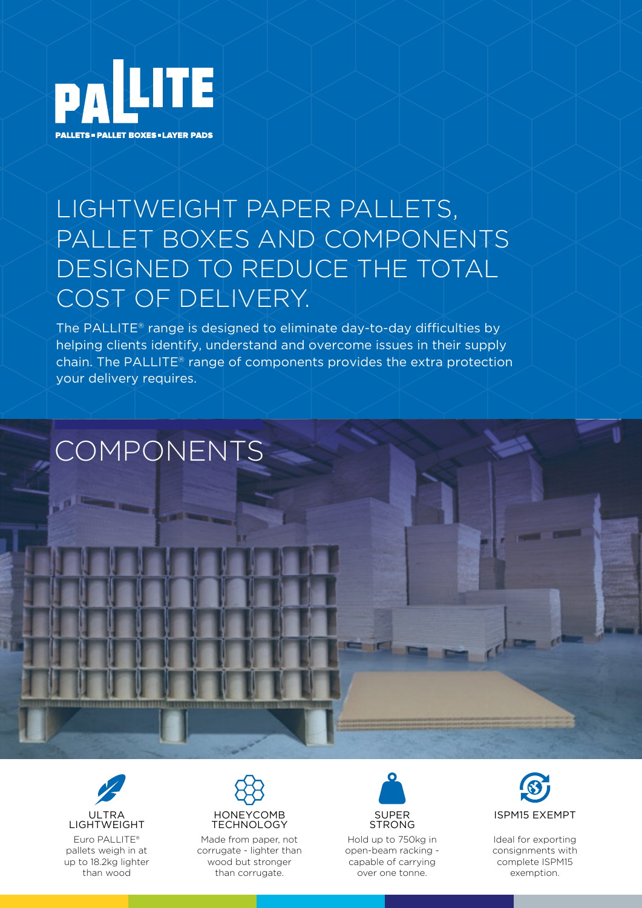

## LIGHTWEIGHT PAPER PALLETS, PALLET BOXES AND COMPONENTS DESIGNED TO REDUCE THE TOTAL COST OF DELIVERY.

The PALLITE® range is designed to eliminate day-to-day difficulties by helping clients identify, understand and overcome issues in their supply chain. The PALLITE® range of components provides the extra protection your delivery requires.

# COMPONENTS

Euro PALLITE® pallets weigh in at up to 18.2kg lighter than wood ULTRA **LIGHTWEIGHT** 



Made from paper, not corrugate - lighter than wood but stronger than corrugate.



Hold up to 750kg in open-beam racking capable of carrying over one tonne.



**COMME** 

**COMME** 

Ideal for exporting consignments with complete ISPM15 exemption.